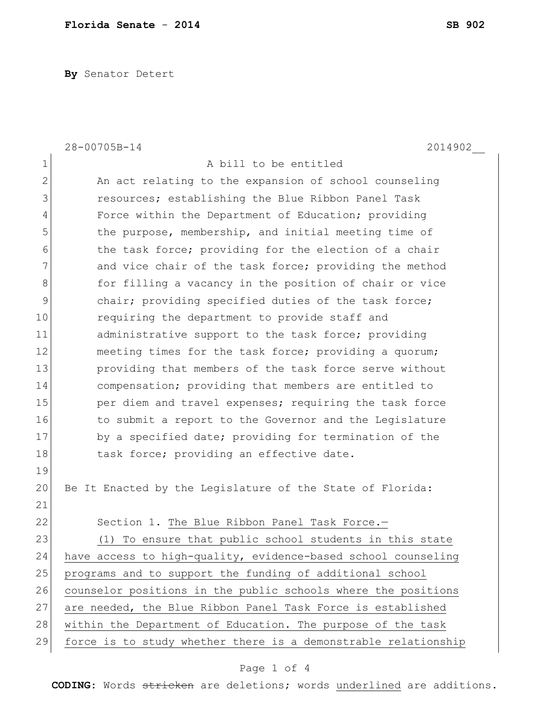**By** Senator Detert

|                | 28-00705B-14<br>2014902                                        |
|----------------|----------------------------------------------------------------|
| 1              | A bill to be entitled                                          |
| $\mathbf{2}$   | An act relating to the expansion of school counseling          |
| 3              | resources; establishing the Blue Ribbon Panel Task             |
| $\overline{4}$ | Force within the Department of Education; providing            |
| 5              | the purpose, membership, and initial meeting time of           |
| 6              | the task force; providing for the election of a chair          |
| 7              | and vice chair of the task force; providing the method         |
| 8              | for filling a vacancy in the position of chair or vice         |
| $\mathcal{G}$  | chair; providing specified duties of the task force;           |
| 10             | requiring the department to provide staff and                  |
| 11             | administrative support to the task force; providing            |
| 12             | meeting times for the task force; providing a quorum;          |
| 13             | providing that members of the task force serve without         |
| 14             | compensation; providing that members are entitled to           |
| 15             | per diem and travel expenses; requiring the task force         |
| 16             | to submit a report to the Governor and the Legislature         |
| 17             | by a specified date; providing for termination of the          |
| 18             | task force; providing an effective date.                       |
| 19             |                                                                |
| 20             | Be It Enacted by the Legislature of the State of Florida:      |
| 21             |                                                                |
| 22             | Section 1. The Blue Ribbon Panel Task Force.-                  |
| 23             | (1) To ensure that public school students in this state        |
| 24             | have access to high-quality, evidence-based school counseling  |
| 25             | programs and to support the funding of additional school       |
| 26             | counselor positions in the public schools where the positions  |
| 27             | are needed, the Blue Ribbon Panel Task Force is established    |
| 28             | within the Department of Education. The purpose of the task    |
| 29             | force is to study whether there is a demonstrable relationship |

## Page 1 of 4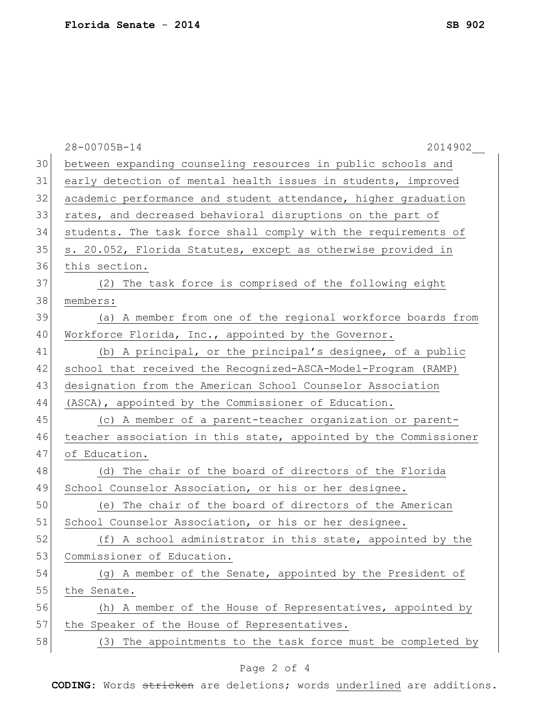|    | 28-00705B-14<br>2014902                                          |
|----|------------------------------------------------------------------|
| 30 | between expanding counseling resources in public schools and     |
| 31 | early detection of mental health issues in students, improved    |
| 32 | academic performance and student attendance, higher graduation   |
| 33 | rates, and decreased behavioral disruptions on the part of       |
| 34 | students. The task force shall comply with the requirements of   |
| 35 | s. 20.052, Florida Statutes, except as otherwise provided in     |
| 36 | this section.                                                    |
| 37 | (2) The task force is comprised of the following eight           |
| 38 | members:                                                         |
| 39 | (a) A member from one of the regional workforce boards from      |
| 40 | Workforce Florida, Inc., appointed by the Governor.              |
| 41 | (b) A principal, or the principal's designee, of a public        |
| 42 | school that received the Recognized-ASCA-Model-Program (RAMP)    |
| 43 | designation from the American School Counselor Association       |
| 44 | (ASCA), appointed by the Commissioner of Education.              |
| 45 | (c) A member of a parent-teacher organization or parent-         |
| 46 | teacher association in this state, appointed by the Commissioner |
| 47 | of Education.                                                    |
| 48 | (d) The chair of the board of directors of the Florida           |
| 49 | School Counselor Association, or his or her designee.            |
| 50 | (e) The chair of the board of directors of the American          |
| 51 | School Counselor Association, or his or her designee.            |
| 52 | (f) A school administrator in this state, appointed by the       |
| 53 | Commissioner of Education.                                       |
| 54 | (g) A member of the Senate, appointed by the President of        |
| 55 | the Senate.                                                      |
| 56 | (h) A member of the House of Representatives, appointed by       |
| 57 | the Speaker of the House of Representatives.                     |
| 58 | (3) The appointments to the task force must be completed by      |
|    |                                                                  |

## Page 2 of 4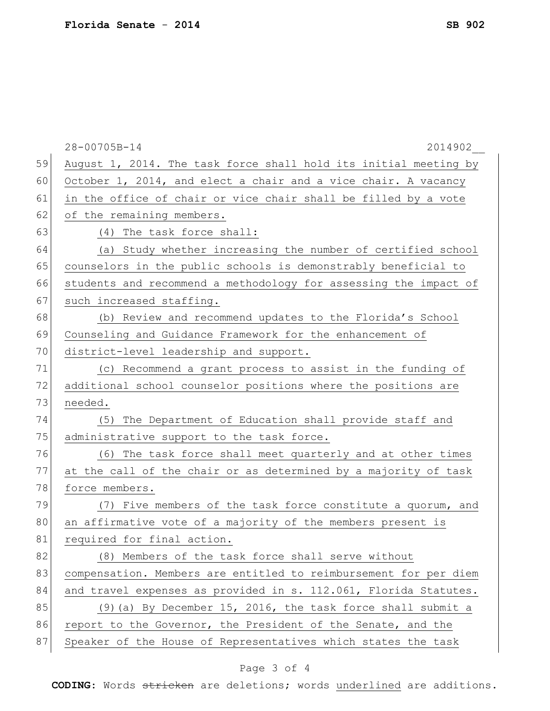|    | 28-00705B-14<br>2014902                                          |
|----|------------------------------------------------------------------|
| 59 | August 1, 2014. The task force shall hold its initial meeting by |
| 60 | October 1, 2014, and elect a chair and a vice chair. A vacancy   |
| 61 | in the office of chair or vice chair shall be filled by a vote   |
| 62 | of the remaining members.                                        |
| 63 | (4) The task force shall:                                        |
| 64 | (a) Study whether increasing the number of certified school      |
| 65 | counselors in the public schools is demonstrably beneficial to   |
| 66 | students and recommend a methodology for assessing the impact of |
| 67 | such increased staffing.                                         |
| 68 | (b) Review and recommend updates to the Florida's School         |
| 69 | Counseling and Guidance Framework for the enhancement of         |
| 70 | district-level leadership and support.                           |
| 71 | (c) Recommend a grant process to assist in the funding of        |
| 72 | additional school counselor positions where the positions are    |
| 73 | needed.                                                          |
| 74 | The Department of Education shall provide staff and<br>(5)       |
| 75 | administrative support to the task force.                        |
| 76 | (6) The task force shall meet quarterly and at other times       |
| 77 | at the call of the chair or as determined by a majority of task  |
| 78 | force members.                                                   |
| 79 | (7) Five members of the task force constitute a quorum, and      |
| 80 | an affirmative vote of a majority of the members present is      |
| 81 | required for final action.                                       |
| 82 | (8) Members of the task force shall serve without                |
| 83 | compensation. Members are entitled to reimbursement for per diem |
| 84 | and travel expenses as provided in s. 112.061, Florida Statutes. |
| 85 | (9) (a) By December 15, 2016, the task force shall submit a      |
| 86 | report to the Governor, the President of the Senate, and the     |
| 87 | Speaker of the House of Representatives which states the task    |

## Page 3 of 4